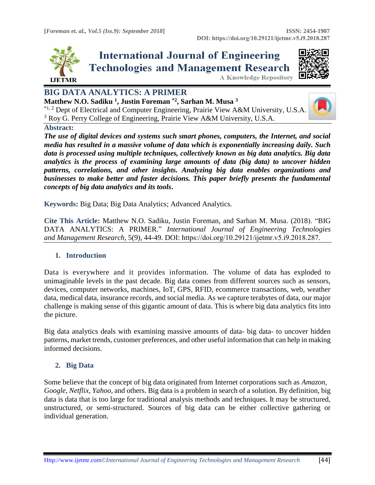

**International Journal of Engineering Technologies and Management Research** 



**A Knowledge Repository** 

# **BIG DATA ANALYTICS: A PRIMER**

**Matthew N.O. Sadiku <sup>1</sup> , Justin Foreman \*2, Sarhan M. Musa <sup>3</sup>**  $*^{1,2}$  Dept of Electrical and Computer Engineering, Prairie View A&M University, U.S.A. <sup>3</sup> Roy G. Perry College of Engineering, Prairie View A&M University, U.S.A.



#### **Abstract:**

*The use of digital devices and systems such smart phones, computers, the Internet, and social media has resulted in a massive volume of data which is exponentially increasing daily. Such data is processed using multiple techniques, collectively known as big data analytics. Big data analytics is the process of examining large amounts of data (big data) to uncover hidden patterns, correlations, and other insights. Analyzing big data enables organizations and businesses to make better and faster decisions. This paper briefly presents the fundamental concepts of big data analytics and its tools***.**

**Keywords:** Big Data; Big Data Analytics; Advanced Analytics*.* 

**Cite This Article:** Matthew N.O. Sadiku, Justin Foreman, and Sarhan M. Musa. (2018). "BIG DATA ANALYTICS: A PRIMER." *International Journal of Engineering Technologies and Management Research,* 5(9), 44-49. DOI: https://doi.org/10.29121/ijetmr.v5.i9.2018.287.

# **1. Introduction**

Data is everywhere and it provides information. The volume of data has exploded to unimaginable levels in the past decade. Big data comes from different sources such as sensors, devices, computer networks, machines, IoT, GPS, RFID, ecommerce transactions, web, weather data, medical data, insurance records, and social media. As we capture terabytes of data, our major challenge is making sense of this gigantic amount of data. This is where big data analytics fits into the picture.

Big data analytics deals with examining massive amounts of data- big data- to uncover hidden patterns, market trends, customer preferences, and other useful information that can help in making informed decisions.

# **2. Big Data**

Some believe that the concept of big data originated from Internet corporations such as *Amazon*, *Google*, *Netflix*, *Yahoo,* and others. Big data is a problem in search of a solution. By definition, big data is data that is too large for traditional analysis methods and techniques. It may be structured, unstructured, or semi-structured. Sources of big data can be either collective gathering or individual generation.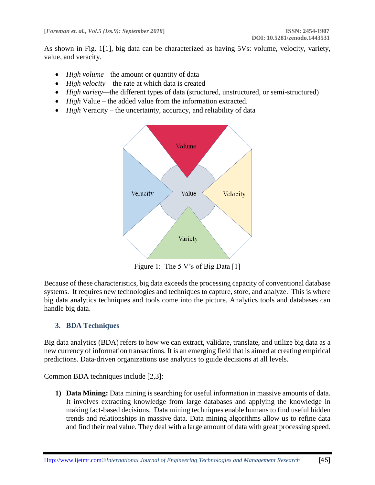As shown in Fig. 1[1], big data can be characterized as having 5Vs: volume, velocity, variety, value, and veracity.

- *High volume—*the amount or quantity of data
- *High velocity*—the rate at which data is created
- *High variety—*the different types of data (structured, unstructured, or semi-structured)
- *High* Value the added value from the information extracted.
- *High* Veracity the uncertainty, accuracy, and reliability of data



Figure 1: The 5 V's of Big Data [1]

Because of these characteristics, big data exceeds the processing capacity of conventional database systems. It requires new technologies and techniques to capture, store, and analyze. This is where big data analytics techniques and tools come into the picture. Analytics tools and databases can handle big data.

# **3. BDA Techniques**

Big data analytics (BDA) refers to how we can extract, validate, translate, and utilize big data as a new currency of information transactions. It is an emerging field that is aimed at creating empirical predictions. Data-driven organizations use analytics to guide decisions at all levels.

Common BDA techniques include [2,3]:

**1) Data Mining:** Data mining is searching for useful information in massive amounts of data. It involves extracting knowledge from large databases and applying the knowledge in making fact-based decisions. Data mining techniques enable humans to find useful hidden trends and relationships in massive data. Data mining algorithms allow us to refine data and find their real value. They deal with a large amount of data with great processing speed.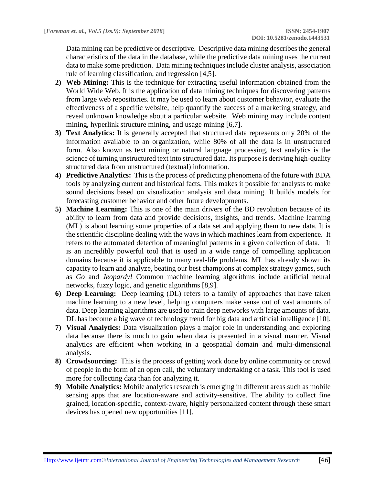Data mining can be predictive or descriptive. Descriptive data mining describes the general characteristics of the data in the database, while the predictive data mining uses the current data to make some prediction. Data mining techniques include cluster analysis, association rule of learning classification, and regression [4,5].

- **2) Web Mining:** This is the technique for extracting useful information obtained from the World Wide Web. It is the application of data mining techniques for discovering patterns from large web repositories. It may be used to learn about customer behavior, evaluate the effectiveness of a specific website, help quantify the success of a marketing strategy, and reveal unknown knowledge about a particular website. Web mining may include content mining, hyperlink structure mining, and usage mining [6,7].
- **3) Text Analytics:** It is generally accepted that structured data represents only 20% of the information available to an organization, while 80% of all the data is in unstructured form. Also known as text mining or natural language processing, text analytics is the science of turning unstructured text into structured data. Its purpose is deriving high-quality structured data from unstructured (textual) information.
- **4) Predictive Analytics:** This is the process of predicting phenomena of the future with BDA tools by analyzing current and historical facts. This makes it possible for analysts to make sound decisions based on visualization analysis and data mining. It builds models for forecasting customer behavior and other future developments.
- **5) Machine Learning:** This is one of the main drivers of the BD revolution because of its ability to learn from data and provide decisions, insights, and trends. Machine learning (ML) is about learning some properties of a data set and applying them to new data. It is the scientific discipline dealing with the ways in which machines learn from experience. It refers to the automated detection of meaningful patterns in a given collection of data. It is an incredibly powerful tool that is used in a wide range of compelling application domains because it is applicable to many real-life problems. ML has already shown its capacity to learn and analyze, beating our best champions at complex strategy games, such as *[Go](http://www.economist.com/news/science-and-technology/21694883-alphagos-masters-taught-it-game-electrifying-match-shows-what)* and *Jeopardy!* Common machine learning algorithms include artificial neural networks, fuzzy logic, and genetic algorithms [8,9].
- **6) Deep Learning:** Deep learning (DL) refers to a family of approaches that have taken machine learning to a new level, helping computers make sense out of vast amounts of data. Deep learning algorithms are used to train deep networks with large amounts of data. DL has become a big wave of technology trend for big data and artificial intelligence [10].
- **7) Visual Analytics:** Data visualization plays a major role in understanding and exploring data because there is much to gain when data is presented in a visual manner. Visual analytics are efficient when working in a geospatial domain and multi-dimensional analysis.
- **8) Crowdsourcing:**This is the process of getting work done by online community or crowd of people in the form of an open call, the voluntary undertaking of a task. This tool is used more for collecting data than for analyzing it.
- **9) Mobile Analytics:** Mobile analytics research is emerging in different areas such as mobile sensing apps that are location-aware and activity-sensitive. The ability to collect fine grained, location-specific, context-aware, highly personalized content through these smart devices has opened new opportunities [11].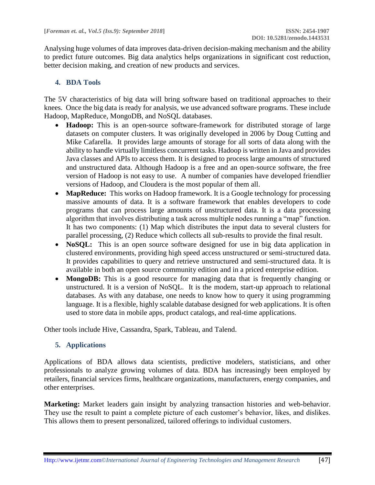Analysing huge volumes of data improves data-driven decision-making mechanism and the ability to predict future outcomes. Big data analytics helps organizations in significant cost reduction, better decision making, and creation of new products and services.

# **4. BDA Tools**

The 5V characteristics of big data will bring software based on traditional approaches to their knees. Once the big data is ready for analysis, we use advanced software programs. These include Hadoop, MapReduce, MongoDB, and NoSQL databases.

- **Hadoop:** This is an open-source software-framework for distributed storage of large datasets on computer clusters. It was originally developed in 2006 by Doug Cutting and Mike Cafarella. It provides large amounts of storage for all sorts of data along with the ability to handle virtually limitless concurrent tasks. Hadoop is written in Java and provides Java classes and APIs to access them. It is designed to process large amounts of structured and unstructured data. Although Hadoop is a free and an open-source software, the free version of Hadoop is not easy to use. A number of companies have developed friendlier versions of Hadoop, and Cloudera is the most popular of them all.
- **MapReduce:** This works on Hadoop framework. It is a Google technology for processing massive amounts of data. It is a software framework that enables developers to code programs that can process large amounts of unstructured data. It is a data processing algorithm that involves distributing a task across multiple nodes running a "map" function. It has two components: (1) Map which distributes the input data to several clusters for parallel processing, (2) Reduce which collects all sub-results to provide the final result.
- **NoSQL:** This is an open source software designed for use in big data application in clustered environments, providing high speed access unstructured or semi-structured data. It provides capabilities to query and retrieve unstructured and semi-structured data. It is available in both an open source community edition and in a priced enterprise edition.
- **MongoDB:** This is a good resource for managing data that is frequently changing or unstructured. It is a version of NoSQL. It is the modern, start-up approach to relational databases. As with any database, one needs to know how to query it using programming language. It is a flexible, highly scalable database designed for web applications. It is often used to store data in mobile apps, product catalogs, and real-time applications.

Other tools include Hive, Cassandra, Spark, Tableau, and Talend.

# **5. Applications**

Applications of BDA allows data scientists, predictive modelers, statisticians, and other professionals to analyze growing volumes of data. BDA has increasingly been employed by retailers, financial services firms, healthcare organizations, manufacturers, energy companies, and other enterprises.

**Marketing:** Market leaders gain insight by analyzing transaction histories and web-behavior. They use the result to paint a complete picture of each customer's behavior, likes, and dislikes. This allows them to present personalized, tailored offerings to individual customers.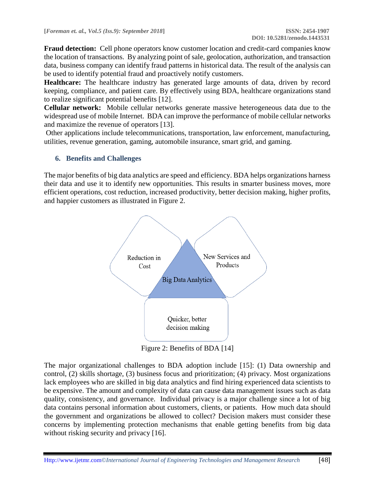**Fraud detection:** Cell phone operators know customer location and credit-card companies know the location of transactions. By analyzing point of sale, geolocation, authorization, and transaction data, business company can identify fraud patterns in historical data. The result of the analysis can be used to identify potential fraud and proactively notify customers.

**Healthcare:** The healthcare industry has generated large amounts of data, driven by record keeping, compliance, and patient care. By effectively using BDA, healthcare organizations stand to realize significant potential benefits [12].

**Cellular network:** Mobile cellular networks generate massive heterogeneous data due to the widespread use of mobile Internet. BDA can improve the performance of mobile cellular networks and maximize the revenue of operators [13].

Other applications include telecommunications, transportation, law enforcement, manufacturing, utilities, revenue generation, gaming, automobile insurance, smart grid, and gaming.

# **6. Benefits and Challenges**

The major benefits of big data analytics are speed and efficiency. BDA helps organizations harness their data and use it to identify new opportunities. This results in smarter business moves, more efficient operations, cost reduction, increased productivity, better decision making, higher profits, and happier customers as illustrated in Figure 2.



Figure 2: Benefits of BDA [14]

The major organizational challenges to BDA adoption include [15]: (1) Data ownership and control, (2) skills shortage, (3) business focus and prioritization; (4) privacy. Most organizations lack employees who are skilled in big data analytics and find hiring experienced data scientists to be expensive. The amount and complexity of data can cause data management issues such as data quality, consistency, and governance. Individual privacy is a major challenge since a lot of big data contains personal information about customers, clients, or patients. How much data should the government and organizations be allowed to collect? Decision makers must consider these concerns by implementing protection mechanisms that enable getting benefits from big data without risking security and privacy [16].